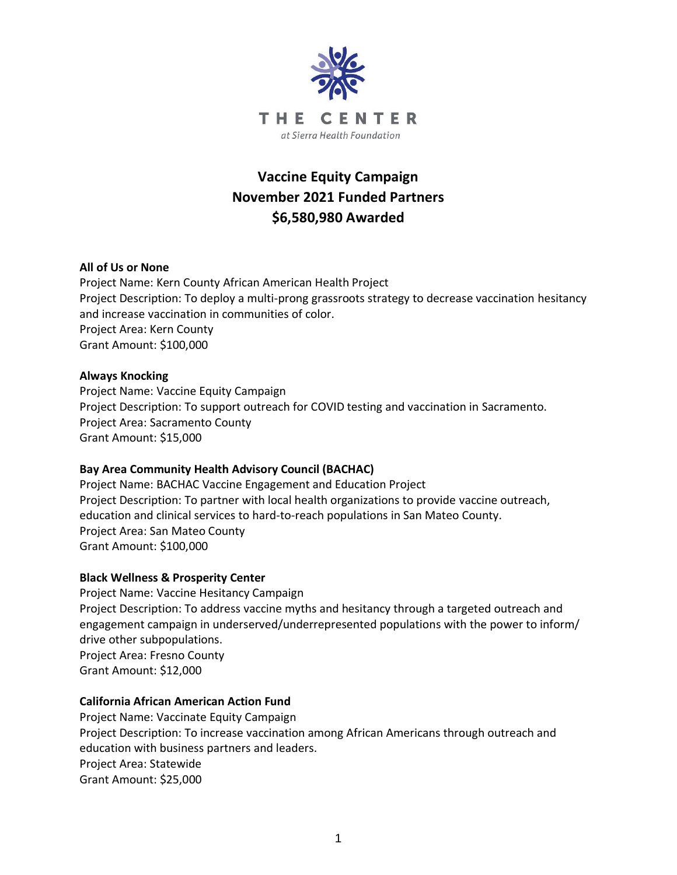

# **Vaccine Equity Campaign November 2021 Funded Partners \$6,580,980 Awarded**

# **All of Us or None**

Project Name: Kern County African American Health Project Project Description: To deploy a multi-prong grassroots strategy to decrease vaccination hesitancy and increase vaccination in communities of color. Project Area: Kern County Grant Amount: \$100,000

#### **Always Knocking**

Project Name: Vaccine Equity Campaign Project Description: To support outreach for COVID testing and vaccination in Sacramento. Project Area: Sacramento County Grant Amount: \$15,000

#### **Bay Area Community Health Advisory Council (BACHAC)**

Project Name: BACHAC Vaccine Engagement and Education Project Project Description: To partner with local health organizations to provide vaccine outreach, education and clinical services to hard-to-reach populations in San Mateo County. Project Area: San Mateo County Grant Amount: \$100,000

#### **Black Wellness & Prosperity Center**

Project Name: Vaccine Hesitancy Campaign Project Description: To address vaccine myths and hesitancy through a targeted outreach and engagement campaign in underserved/underrepresented populations with the power to inform/ drive other subpopulations. Project Area: Fresno County Grant Amount: \$12,000

#### **California African American Action Fund**

Project Name: Vaccinate Equity Campaign Project Description: To increase vaccination among African Americans through outreach and education with business partners and leaders. Project Area: Statewide Grant Amount: \$25,000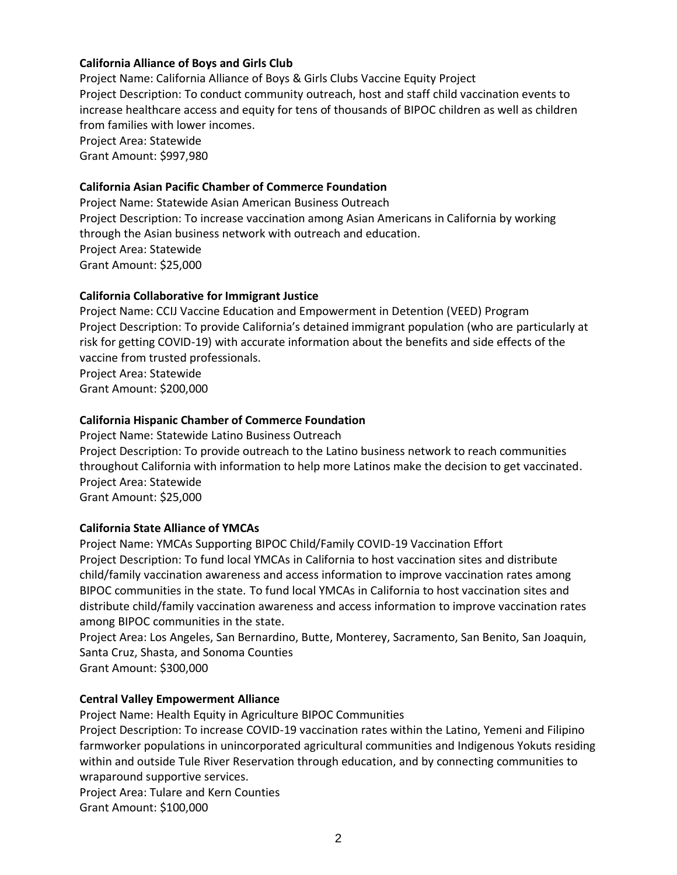# **California Alliance of Boys and Girls Club**

Project Name: California Alliance of Boys & Girls Clubs Vaccine Equity Project Project Description: To conduct community outreach, host and staff child vaccination events to increase healthcare access and equity for tens of thousands of BIPOC children as well as children from families with lower incomes. Project Area: Statewide Grant Amount: \$997,980

#### **California Asian Pacific Chamber of Commerce Foundation**

Project Name: Statewide Asian American Business Outreach Project Description: To increase vaccination among Asian Americans in California by working through the Asian business network with outreach and education. Project Area: Statewide Grant Amount: \$25,000

## **California Collaborative for Immigrant Justice**

Project Name: CCIJ Vaccine Education and Empowerment in Detention (VEED) Program Project Description: To provide California's detained immigrant population (who are particularly at risk for getting COVID-19) with accurate information about the benefits and side effects of the vaccine from trusted professionals. Project Area: Statewide

Grant Amount: \$200,000

## **California Hispanic Chamber of Commerce Foundation**

Project Name: Statewide Latino Business Outreach Project Description: To provide outreach to the Latino business network to reach communities throughout California with information to help more Latinos make the decision to get vaccinated. Project Area: Statewide Grant Amount: \$25,000

## **California State Alliance of YMCAs**

Project Name: YMCAs Supporting BIPOC Child/Family COVID-19 Vaccination Effort Project Description: To fund local YMCAs in California to host vaccination sites and distribute child/family vaccination awareness and access information to improve vaccination rates among BIPOC communities in the state. To fund local YMCAs in California to host vaccination sites and distribute child/family vaccination awareness and access information to improve vaccination rates among BIPOC communities in the state.

Project Area: Los Angeles, San Bernardino, Butte, Monterey, Sacramento, San Benito, San Joaquin, Santa Cruz, Shasta, and Sonoma Counties

Grant Amount: \$300,000

# **Central Valley Empowerment Alliance**

Project Name: Health Equity in Agriculture BIPOC Communities

Project Description: To increase COVID-19 vaccination rates within the Latino, Yemeni and Filipino farmworker populations in unincorporated agricultural communities and Indigenous Yokuts residing within and outside Tule River Reservation through education, and by connecting communities to wraparound supportive services.

Project Area: Tulare and Kern Counties Grant Amount: \$100,000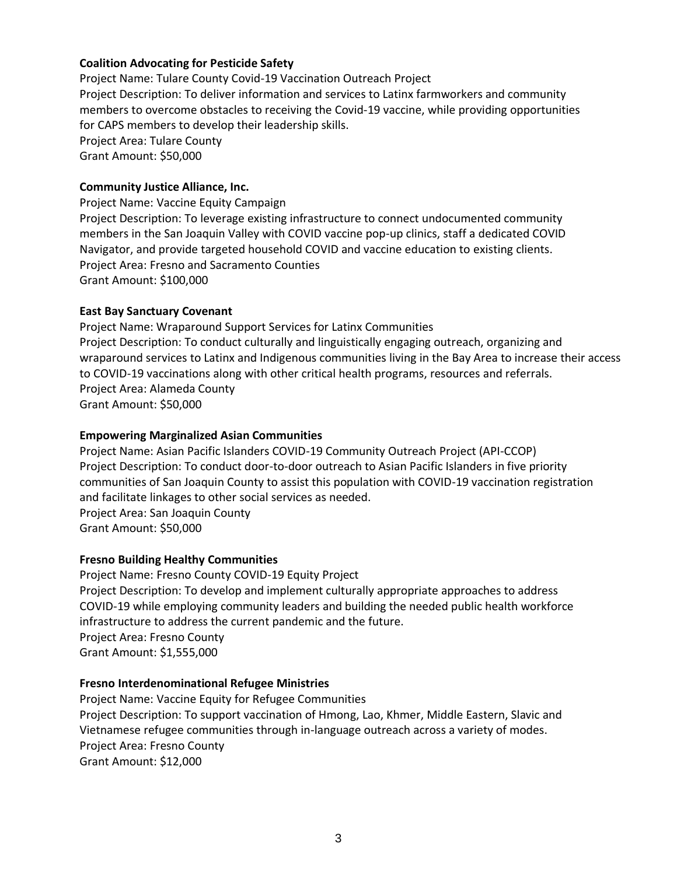# **Coalition Advocating for Pesticide Safety**

Project Name: Tulare County Covid-19 Vaccination Outreach Project Project Description: To deliver information and services to Latinx farmworkers and community members to overcome obstacles to receiving the Covid-19 vaccine, while providing opportunities for CAPS members to develop their leadership skills. Project Area: Tulare County Grant Amount: \$50,000

#### **Community Justice Alliance, Inc.**

Project Name: Vaccine Equity Campaign Project Description: To leverage existing infrastructure to connect undocumented community members in the San Joaquin Valley with COVID vaccine pop-up clinics, staff a dedicated COVID Navigator, and provide targeted household COVID and vaccine education to existing clients. Project Area: Fresno and Sacramento Counties Grant Amount: \$100,000

#### **East Bay Sanctuary Covenant**

Project Name: Wraparound Support Services for Latinx Communities Project Description: To conduct culturally and linguistically engaging outreach, organizing and wraparound services to Latinx and Indigenous communities living in the Bay Area to increase their access to COVID-19 vaccinations along with other critical health programs, resources and referrals. Project Area: Alameda County Grant Amount: \$50,000

## **Empowering Marginalized Asian Communities**

Project Name: Asian Pacific Islanders COVID-19 Community Outreach Project (API-CCOP) Project Description: To conduct door-to-door outreach to Asian Pacific Islanders in five priority communities of San Joaquin County to assist this population with COVID-19 vaccination registration and facilitate linkages to other social services as needed. Project Area: San Joaquin County Grant Amount: \$50,000

#### **Fresno Building Healthy Communities**

Project Name: Fresno County COVID-19 Equity Project Project Description: To develop and implement culturally appropriate approaches to address COVID-19 while employing community leaders and building the needed public health workforce infrastructure to address the current pandemic and the future. Project Area: Fresno County Grant Amount: \$1,555,000

#### **Fresno Interdenominational Refugee Ministries**

Project Name: Vaccine Equity for Refugee Communities Project Description: To support vaccination of Hmong, Lao, Khmer, Middle Eastern, Slavic and Vietnamese refugee communities through in-language outreach across a variety of modes. Project Area: Fresno County Grant Amount: \$12,000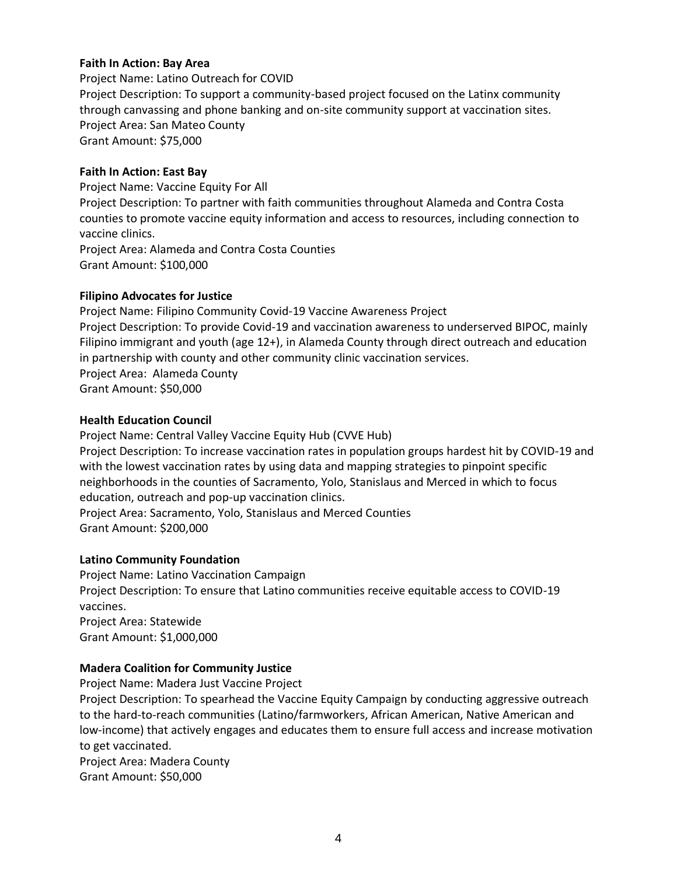# **Faith In Action: Bay Area**

Project Name: Latino Outreach for COVID Project Description: To support a community-based project focused on the Latinx community through canvassing and phone banking and on-site community support at vaccination sites. Project Area: San Mateo County Grant Amount: \$75,000

#### **Faith In Action: East Bay**

Project Name: Vaccine Equity For All Project Description: To partner with faith communities throughout Alameda and Contra Costa counties to promote vaccine equity information and access to resources, including connection to vaccine clinics. Project Area: Alameda and Contra Costa Counties Grant Amount: \$100,000

## **Filipino Advocates for Justice**

Project Name: Filipino Community Covid-19 Vaccine Awareness Project Project Description: To provide Covid-19 and vaccination awareness to underserved BIPOC, mainly Filipino immigrant and youth (age 12+), in Alameda County through direct outreach and education in partnership with county and other community clinic vaccination services. Project Area: Alameda County Grant Amount: \$50,000

## **Health Education Council**

Project Name: Central Valley Vaccine Equity Hub (CVVE Hub) Project Description: To increase vaccination rates in population groups hardest hit by COVID-19 and with the lowest vaccination rates by using data and mapping strategies to pinpoint specific neighborhoods in the counties of Sacramento, Yolo, Stanislaus and Merced in which to focus education, outreach and pop-up vaccination clinics. Project Area: Sacramento, Yolo, Stanislaus and Merced Counties Grant Amount: \$200,000

# **Latino Community Foundation**

Project Name: Latino Vaccination Campaign Project Description: To ensure that Latino communities receive equitable access to COVID-19 vaccines. Project Area: Statewide Grant Amount: \$1,000,000

# **Madera Coalition for Community Justice**

Project Name: Madera Just Vaccine Project Project Description: To spearhead the Vaccine Equity Campaign by conducting aggressive outreach to the hard-to-reach communities (Latino/farmworkers, African American, Native American and low-income) that actively engages and educates them to ensure full access and increase motivation to get vaccinated. Project Area: Madera County

Grant Amount: \$50,000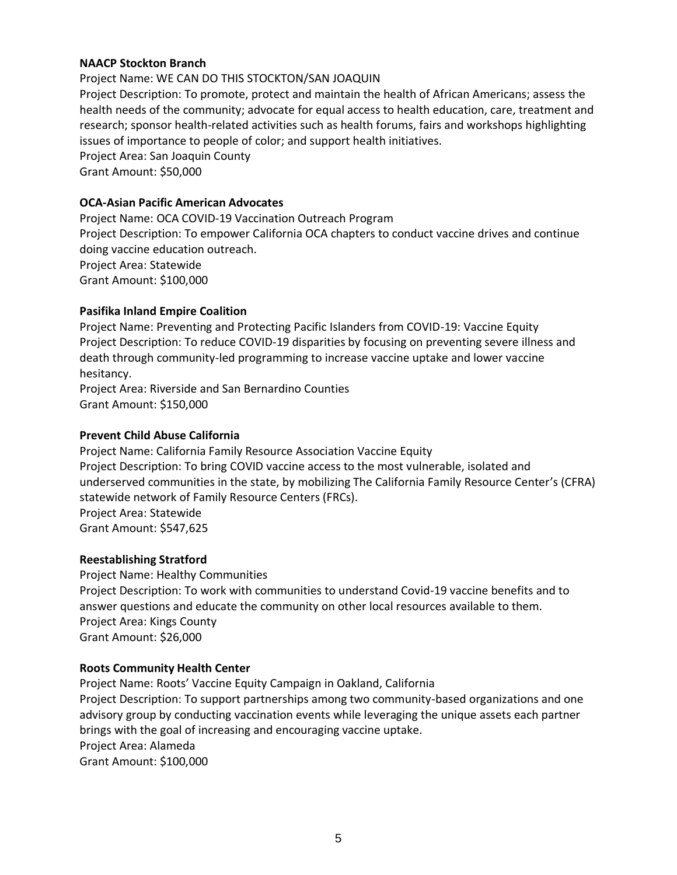## **NAACP Stockton Branch**

Project Name: WE CAN DO THIS STOCKTON/SAN JOAQUIN Project Description: To promote, protect and maintain the health of African Americans; assess the health needs of the community; advocate for equal access to health education, care, treatment and research; sponsor health-related activities such as health forums, fairs and workshops highlighting issues of importance to people of color; and support health initiatives. Project Area: San Joaquin County Grant Amount: \$50,000

# **OCA-Asian Pacific American Advocates**

Project Name: OCA COVID-19 Vaccination Outreach Program Project Description: To empower California OCA chapters to conduct vaccine drives and continue doing vaccine education outreach. Project Area: Statewide Grant Amount: \$100,000

#### **Pasifika Inland Empire Coalition**

Project Name: Preventing and Protecting Pacific Islanders from COVID-19: Vaccine Equity Project Description: To reduce COVID-19 disparities by focusing on preventing severe illness and death through community-led programming to increase vaccine uptake and lower vaccine hesitancy.

Project Area: Riverside and San Bernardino Counties Grant Amount: \$150,000

## **Prevent Child Abuse California**

Project Name: California Family Resource Association Vaccine Equity Project Description: To bring COVID vaccine access to the most vulnerable, isolated and underserved communities in the state, by mobilizing The California Family Resource Center's (CFRA) statewide network of Family Resource Centers (FRCs). Project Area: Statewide Grant Amount: \$547,625

#### **Reestablishing Stratford**

Project Name: Healthy Communities Project Description: To work with communities to understand Covid-19 vaccine benefits and to answer questions and educate the community on other local resources available to them. Project Area: Kings County Grant Amount: \$26,000

#### **Roots Community Health Center**

Project Name: Roots' Vaccine Equity Campaign in Oakland, California Project Description: To support partnerships among two community-based organizations and one advisory group by conducting vaccination events while leveraging the unique assets each partner brings with the goal of increasing and encouraging vaccine uptake. Project Area: Alameda Grant Amount: \$100,000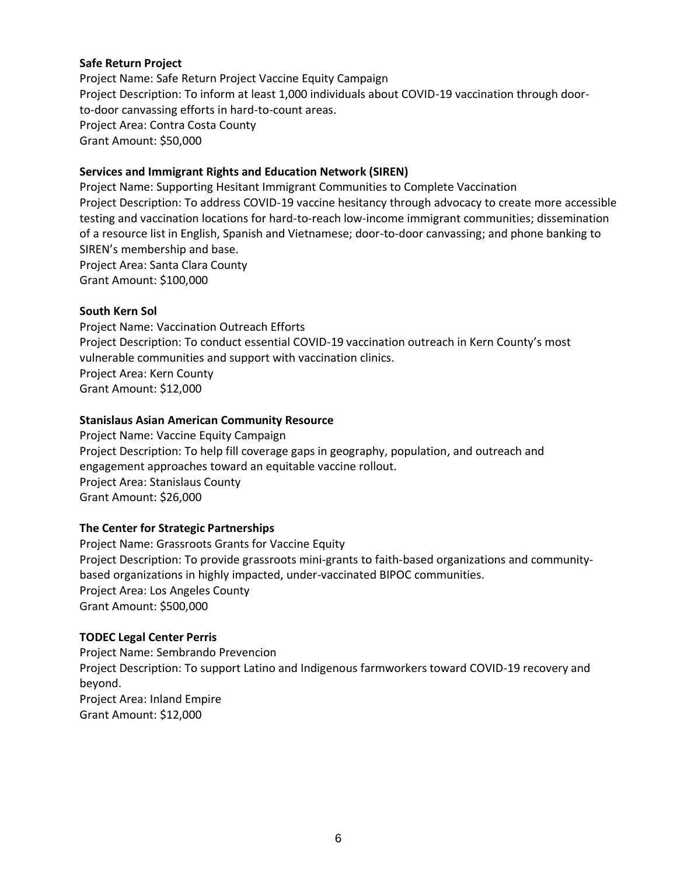# **Safe Return Project**

Project Name: Safe Return Project Vaccine Equity Campaign Project Description: To inform at least 1,000 individuals about COVID-19 vaccination through doorto-door canvassing efforts in hard-to-count areas. Project Area: Contra Costa County Grant Amount: \$50,000

# **Services and Immigrant Rights and Education Network (SIREN)**

Project Name: Supporting Hesitant Immigrant Communities to Complete Vaccination Project Description: To address COVID-19 vaccine hesitancy through advocacy to create more accessible testing and vaccination locations for hard-to-reach low-income immigrant communities; dissemination of a resource list in English, Spanish and Vietnamese; door-to-door canvassing; and phone banking to SIREN's membership and base. Project Area: Santa Clara County

Grant Amount: \$100,000

#### **South Kern Sol**

Project Name: Vaccination Outreach Efforts Project Description: To conduct essential COVID-19 vaccination outreach in Kern County's most vulnerable communities and support with vaccination clinics. Project Area: Kern County Grant Amount: \$12,000

## **Stanislaus Asian American Community Resource**

Project Name: Vaccine Equity Campaign Project Description: To help fill coverage gaps in geography, population, and outreach and engagement approaches toward an equitable vaccine rollout. Project Area: Stanislaus County Grant Amount: \$26,000

# **The Center for Strategic Partnerships**

Project Name: Grassroots Grants for Vaccine Equity Project Description: To provide grassroots mini-grants to faith-based organizations and communitybased organizations in highly impacted, under-vaccinated BIPOC communities. Project Area: Los Angeles County Grant Amount: \$500,000

#### **TODEC Legal Center Perris**

Project Name: Sembrando Prevencion Project Description: To support Latino and Indigenous farmworkers toward COVID-19 recovery and beyond. Project Area: Inland Empire Grant Amount: \$12,000